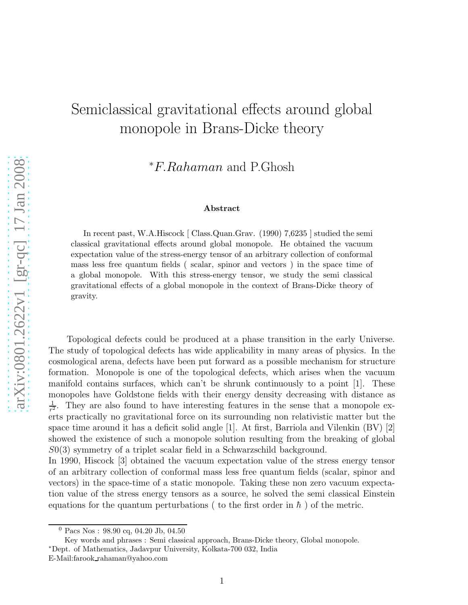## Semiclassical gravitational effects around global monopole in Brans-Dicke theory

<sup>∗</sup>F.Rahaman and P.Ghosh

## Abstract

In recent past, W.A.Hiscock [ Class.Quan.Grav. (1990) 7,6235 ] studied the semi classical gravitational effects around global monopole. He obtained the vacuum expectation value of the stress-energy tensor of an arbitrary collection of conformal mass less free quantum fields ( scalar, spinor and vectors ) in the space time of a global monopole. With this stress-energy tensor, we study the semi classical gravitational effects of a global monopole in the context of Brans-Dicke theory of gravity.

Topological defects could be produced at a phase transition in the early Universe. The study of topological defects has wide applicability in many areas of physics. In the cosmological arena, defects have been put forward as a possible mechanism for structure formation. Monopole is one of the topological defects, which arises when the vacuum manifold contains surfaces, which can't be shrunk continuously to a point [1]. These monopoles have Goldstone fields with their energy density decreasing with distance as 1  $\frac{1}{r^2}$ . They are also found to have interesting features in the sense that a monopole exerts practically no gravitational force on its surrounding non relativistic matter but the space time around it has a deficit solid angle  $[1]$ . At first, Barriola and Vilenkin  $(BV)$   $[2]$ showed the existence of such a monopole solution resulting from the breaking of global S0(3) symmetry of a triplet scalar field in a Schwarzschild background.

In 1990, Hiscock [3] obtained the vacuum expectation value of the stress energy tensor of an arbitrary collection of conformal mass less free quantum fields (scalar, spinor and vectors) in the space-time of a static monopole. Taking these non zero vacuum expectation value of the stress energy tensors as a source, he solved the semi classical Einstein equations for the quantum perturbations ( to the first order in  $\hbar$  ) of the metric.

Key words and phrases : Semi classical approach, Brans-Dicke theory, Global monopole. <sup>∗</sup>Dept. of Mathematics, Jadavpur University, Kolkata-700 032, India

 $0$  Pacs Nos: 98.90 cq, 04.20 Jb, 04.50

E-Mail:farook rahaman@yahoo.com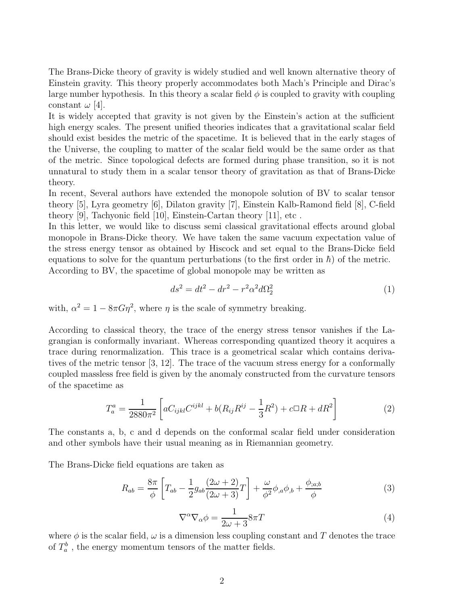The Brans-Dicke theory of gravity is widely studied and well known alternative theory of Einstein gravity. This theory properly accommodates both Mach's Principle and Dirac's large number hypothesis. In this theory a scalar field  $\phi$  is coupled to gravity with coupling constant  $\omega$  [4].

It is widely accepted that gravity is not given by the Einstein's action at the sufficient high energy scales. The present unified theories indicates that a gravitational scalar field should exist besides the metric of the spacetime. It is believed that in the early stages of the Universe, the coupling to matter of the scalar field would be the same order as that of the metric. Since topological defects are formed during phase transition, so it is not unnatural to study them in a scalar tensor theory of gravitation as that of Brans-Dicke theory.

In recent, Several authors have extended the monopole solution of BV to scalar tensor theory [5], Lyra geometry [6], Dilaton gravity [7], Einstein Kalb-Ramond field [8], C-field theory [9], Tachyonic field [10], Einstein-Cartan theory [11], etc .

In this letter, we would like to discuss semi classical gravitational effects around global monopole in Brans-Dicke theory. We have taken the same vacuum expectation value of the stress energy tensor as obtained by Hiscock and set equal to the Brans-Dicke field equations to solve for the quantum perturbations (to the first order in  $\hbar$ ) of the metric. According to BV, the spacetime of global monopole may be written as

$$
ds^2 = dt^2 - dr^2 - r^2 \alpha^2 d\Omega_2^2 \tag{1}
$$

with,  $\alpha^2 = 1 - 8\pi G \eta^2$ , where  $\eta$  is the scale of symmetry breaking.

According to classical theory, the trace of the energy stress tensor vanishes if the Lagrangian is conformally invariant. Whereas corresponding quantized theory it acquires a trace during renormalization. This trace is a geometrical scalar which contains derivatives of the metric tensor [3, 12]. The trace of the vacuum stress energy for a conformally coupled massless free field is given by the anomaly constructed from the curvature tensors of the spacetime as

$$
T_a^a = \frac{1}{2880\pi^2} \left[ aC_{ijkl}C^{ijkl} + b(R_{ij}R^{ij} - \frac{1}{3}R^2) + c\Box R + dR^2 \right]
$$
 (2)

The constants a, b, c and d depends on the conformal scalar field under consideration and other symbols have their usual meaning as in Riemannian geometry.

The Brans-Dicke field equations are taken as

$$
R_{ab} = \frac{8\pi}{\phi} \left[ T_{ab} - \frac{1}{2} g_{ab} \frac{(2\omega + 2)}{(2\omega + 3)} T \right] + \frac{\omega}{\phi^2} \phi_{,a} \phi_{,b} + \frac{\phi_{;a;b}}{\phi} \tag{3}
$$

$$
\nabla^{\alpha}\nabla_{\alpha}\phi = \frac{1}{2\omega + 3}8\pi T\tag{4}
$$

where  $\phi$  is the scalar field,  $\omega$  is a dimension less coupling constant and T denotes the trace of  $T_a^b$ , the energy momentum tensors of the matter fields.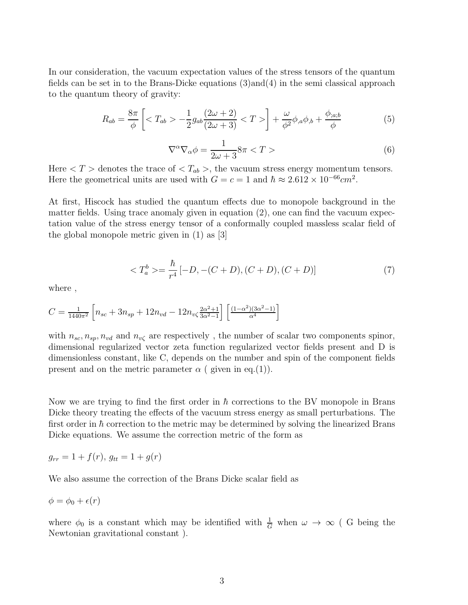In our consideration, the vacuum expectation values of the stress tensors of the quantum fields can be set in to the Brans-Dicke equations  $(3)$  and  $(4)$  in the semi classical approach to the quantum theory of gravity:

$$
R_{ab} = \frac{8\pi}{\phi} \left[ \langle T_{ab} \rangle - \frac{1}{2} g_{ab} \frac{(2\omega + 2)}{(2\omega + 3)} \langle T \rangle \right] + \frac{\omega}{\phi^2} \phi_{,a} \phi_{,b} + \frac{\phi_{;a;b}}{\phi} \tag{5}
$$

$$
\nabla^{\alpha}\nabla_{\alpha}\phi = \frac{1}{2\omega + 3}8\pi < T > \tag{6}
$$

Here  $\langle T \rangle$  denotes the trace of  $\langle T_{ab} \rangle$ , the vacuum stress energy momentum tensors. Here the geometrical units are used with  $G = c = 1$  and  $\hbar \approx 2.612 \times 10^{-66} \text{cm}^2$ .

At first, Hiscock has studied the quantum effects due to monopole background in the matter fields. Using trace anomaly given in equation (2), one can find the vacuum expectation value of the stress energy tensor of a conformally coupled massless scalar field of the global monopole metric given in (1) as [3]

$$
\langle T_a^b \rangle = \frac{\hbar}{r^4} [-D, -(C+D), (C+D), (C+D)] \tag{7}
$$

where ,

$$
C = \frac{1}{1440\pi^2} \left[ n_{sc} + 3n_{sp} + 12n_{vd} - 12n_{v\zeta} \frac{2\alpha^2 + 1}{3\alpha^2 - 1} \right] \left[ \frac{(1 - \alpha^2)(3\alpha^2 - 1)}{\alpha^4} \right]
$$

with  $n_{sc}, n_{sp}, n_{vd}$  and  $n_{v\zeta}$  are respectively, the number of scalar two components spinor, dimensional regularized vector zeta function regularized vector fields present and D is dimensionless constant, like C, depends on the number and spin of the component fields present and on the metric parameter  $\alpha$  ( given in eq.(1)).

Now we are trying to find the first order in  $\hbar$  corrections to the BV monopole in Brans Dicke theory treating the effects of the vacuum stress energy as small perturbations. The first order in  $\hbar$  correction to the metric may be determined by solving the linearized Brans Dicke equations. We assume the correction metric of the form as

$$
g_{rr} = 1 + f(r), \, g_{tt} = 1 + g(r)
$$

We also assume the correction of the Brans Dicke scalar field as

$$
\phi = \phi_0 + \epsilon(r)
$$

where  $\phi_0$  is a constant which may be identified with  $\frac{1}{G}$  when  $\omega \to \infty$  (G being the Newtonian gravitational constant ).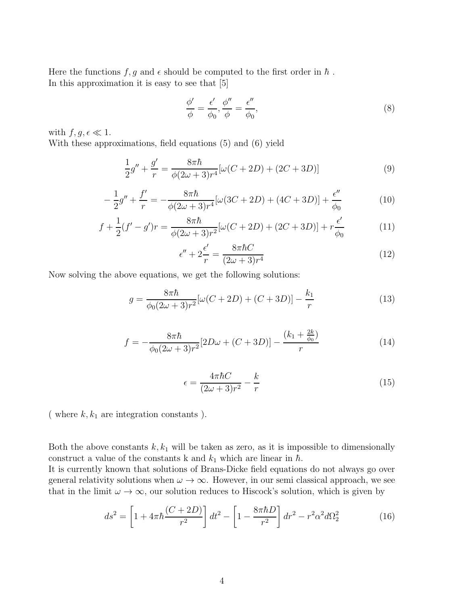Here the functions  $f, g$  and  $\epsilon$  should be computed to the first order in  $\hbar$ . In this approximation it is easy to see that [5]

$$
\frac{\phi'}{\phi} = \frac{\epsilon'}{\phi_0}, \frac{\phi''}{\phi} = \frac{\epsilon''}{\phi_0},\tag{8}
$$

with  $f, g, \epsilon \ll 1$ .

With these approximations, field equations (5) and (6) yield

$$
\frac{1}{2}g'' + \frac{g'}{r} = \frac{8\pi\hbar}{\phi(2\omega+3)r^4}[\omega(C+2D) + (2C+3D)]\tag{9}
$$

$$
-\frac{1}{2}g'' + \frac{f'}{r} = -\frac{8\pi\hbar}{\phi(2\omega+3)r^4}[\omega(3C+2D) + (4C+3D)] + \frac{\epsilon''}{\phi_0}
$$
(10)

$$
f + \frac{1}{2}(f' - g')r = \frac{8\pi\hbar}{\phi(2\omega + 3)r^2}[\omega(C + 2D) + (2C + 3D)] + r\frac{\epsilon'}{\phi_0}
$$
(11)

$$
\epsilon'' + 2\frac{\epsilon'}{r} = \frac{8\pi\hbar C}{(2\omega + 3)r^4} \tag{12}
$$

Now solving the above equations, we get the following solutions:

$$
g = \frac{8\pi\hbar}{\phi_0(2\omega+3)r^2} [\omega(C+2D) + (C+3D)] - \frac{k_1}{r}
$$
 (13)

$$
f = -\frac{8\pi\hbar}{\phi_0(2\omega+3)r^2}[2D\omega + (C+3D)] - \frac{(k_1 + \frac{2k}{\phi_0})}{r}
$$
(14)

$$
\epsilon = \frac{4\pi\hbar C}{(2\omega + 3)r^2} - \frac{k}{r} \tag{15}
$$

( where  $k, k_1$  are integration constants ).

Both the above constants  $k, k_1$  will be taken as zero, as it is impossible to dimensionally construct a value of the constants k and  $k_1$  which are linear in  $\hbar$ .

It is currently known that solutions of Brans-Dicke field equations do not always go over general relativity solutions when  $\omega \to \infty$ . However, in our semi classical approach, we see that in the limit  $\omega \to \infty$ , our solution reduces to Hiscock's solution, which is given by

$$
ds^{2} = \left[1 + 4\pi\hbar \frac{(C + 2D)}{r^{2}}\right]dt^{2} - \left[1 - \frac{8\pi\hbar D}{r^{2}}\right]dr^{2} - r^{2}\alpha^{2}d\Omega_{2}^{2}
$$
 (16)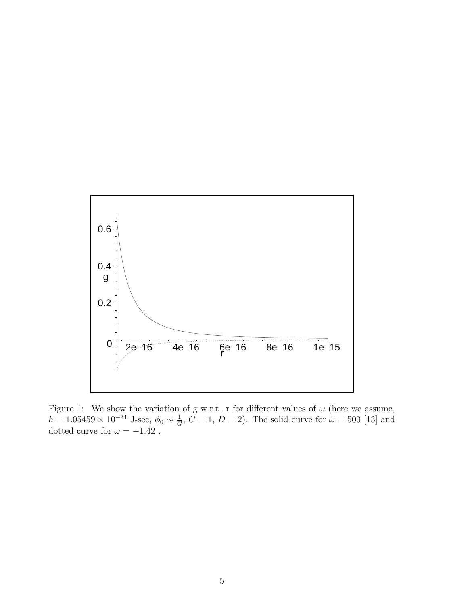

Figure 1: We show the variation of g w.r.t. r for different values of  $\omega$  (here we assume,  $\hbar = 1.05459 \times 10^{-34}$  J-sec,  $\phi_0 \sim \frac{1}{G}$  $\frac{1}{G}$ ,  $C = 1$ ,  $D = 2$ ). The solid curve for  $\omega = 500$  [13] and dotted curve for  $\omega = -1.42$ .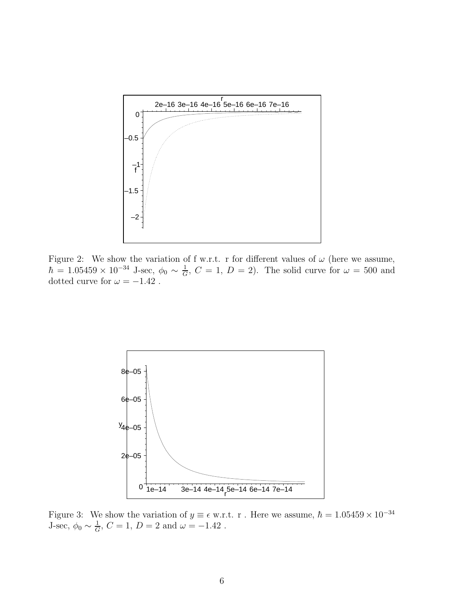

Figure 2: We show the variation of f w.r.t. r for different values of  $\omega$  (here we assume,  $\hbar = 1.05459 \times 10^{-34}$  J-sec,  $\phi_0 \sim \frac{1}{G}$  $\frac{1}{G}$ ,  $C = 1$ ,  $D = 2$ ). The solid curve for  $\omega = 500$  and dotted curve for  $\omega = -1.42$ .



Figure 3: We show the variation of  $y \equiv \epsilon$  w.r.t. r. Here we assume,  $\hbar = 1.05459 \times 10^{-34}$ J-sec,  $\phi_0 \sim \frac{1}{G}$  $\frac{1}{G}$ ,  $C = 1$ ,  $D = 2$  and  $\omega = -1.42$ .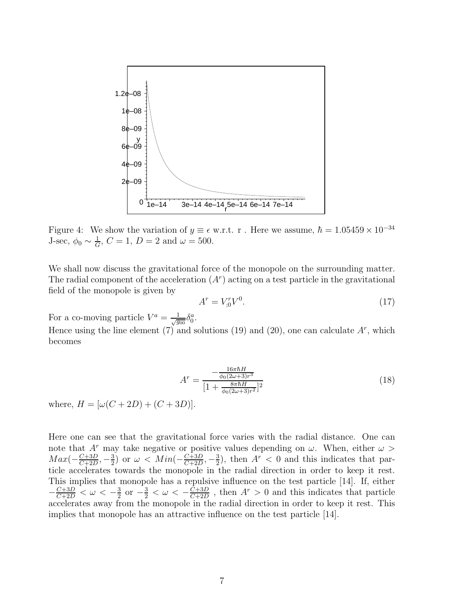

Figure 4: We show the variation of  $y \equiv \epsilon$  w.r.t. r. Here we assume,  $\hbar = 1.05459 \times 10^{-34}$ J-sec,  $\phi_0 \sim \frac{1}{G}$  $\frac{1}{G}$ ,  $C = 1$ ,  $D = 2$  and  $\omega = 500$ .

We shall now discuss the gravitational force of the monopole on the surrounding matter. The radial component of the acceleration  $(A<sup>r</sup>)$  acting on a test particle in the gravitational field of the monopole is given by

$$
A^r = V_{,0}^r V^0. \tag{17}
$$

For a co-moving particle  $V^a = \frac{1}{\sqrt{g_{00}}} \delta_0^a$ .

Hence using the line element (7) and solutions (19) and (20), one can calculate  $A^r$ , which becomes

$$
Ar = \frac{-\frac{16\pi\hbar H}{\phi_0(2\omega+3)r^3}}{[1 + \frac{8\pi\hbar H}{\phi_0(2\omega+3)r^2}]^2}
$$
(18)

where,  $H = [\omega(C + 2D) + (C + 3D)].$ 

Here one can see that the gravitational force varies with the radial distance. One can note that  $A^r$  may take negative or positive values depending on  $\omega$ . When, either  $\omega$  $Max(-\frac{C+3D}{C+2D})$  $\frac{C+3D}{C+2D}, -\frac{3}{2}$  $\frac{3}{2}$ ) or  $\omega < Min(-\frac{C+3D}{C+2D})$  $\frac{C+3D}{C+2D}, -\frac{3}{2}$  $\frac{3}{2}$ , then  $A^r < 0$  and this indicates that particle accelerates towards the monopole in the radial direction in order to keep it rest. This implies that monopole has a repulsive influence on the test particle [14]. If, either  $-\frac{C+3D}{C+2D} < \omega < -\frac{3}{2}$  $\frac{3}{2}$  or  $-\frac{3}{2} < \omega < -\frac{C+3D}{C+2D}$  $\frac{C+3D}{C+2D}$ , then  $A^r > 0$  and this indicates that particle accelerates away from the monopole in the radial direction in order to keep it rest. This implies that monopole has an attractive influence on the test particle [14].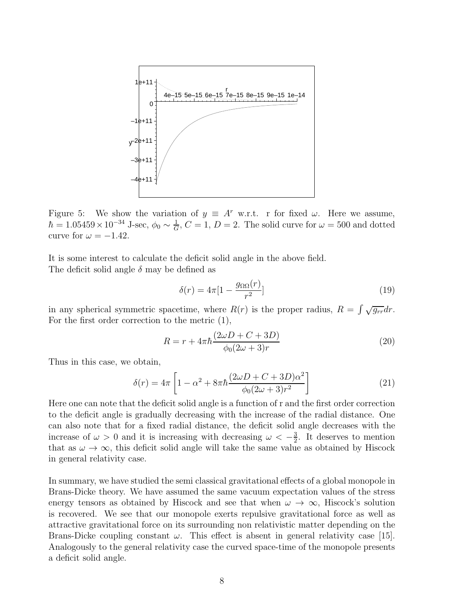

Figure 5: We show the variation of  $y \equiv A^r$  w.r.t. r for fixed  $\omega$ . Here we assume,  $\hbar = 1.05459 \times 10^{-34}$  J-sec,  $\phi_0 \sim \frac{1}{G}$  $\frac{1}{G}$ ,  $C = 1$ ,  $D = 2$ . The solid curve for  $\omega = 500$  and dotted curve for  $\omega = -1.42$ .

It is some interest to calculate the deficit solid angle in the above field. The deficit solid angle  $\delta$  may be defined as

$$
\delta(r) = 4\pi \left[1 - \frac{g_{\Omega\Omega}(r)}{r^2}\right] \tag{19}
$$

in any spherical symmetric spacetime, where  $R(r)$  is the proper radius,  $R = \int \sqrt{g_{rr}} dr$ . For the first order correction to the metric (1),

$$
R = r + 4\pi\hbar \frac{(2\omega D + C + 3D)}{\phi_0(2\omega + 3)r}
$$
\n(20)

Thus in this case, we obtain,

$$
\delta(r) = 4\pi \left[ 1 - \alpha^2 + 8\pi \hbar \frac{(2\omega D + C + 3D)\alpha^2}{\phi_0(2\omega + 3)r^2} \right]
$$
\n(21)

Here one can note that the deficit solid angle is a function of r and the first order correction to the deficit angle is gradually decreasing with the increase of the radial distance. One can also note that for a fixed radial distance, the deficit solid angle decreases with the increase of  $\omega > 0$  and it is increasing with decreasing  $\omega < -\frac{3}{2}$  $\frac{3}{2}$ . It deserves to mention that as  $\omega \to \infty$ , this deficit solid angle will take the same value as obtained by Hiscock in general relativity case.

In summary, we have studied the semi classical gravitational effects of a global monopole in Brans-Dicke theory. We have assumed the same vacuum expectation values of the stress energy tensors as obtained by Hiscock and see that when  $\omega \to \infty$ , Hiscock's solution is recovered. We see that our monopole exerts repulsive gravitational force as well as attractive gravitational force on its surrounding non relativistic matter depending on the Brans-Dicke coupling constant  $\omega$ . This effect is absent in general relativity case [15]. Analogously to the general relativity case the curved space-time of the monopole presents a deficit solid angle.